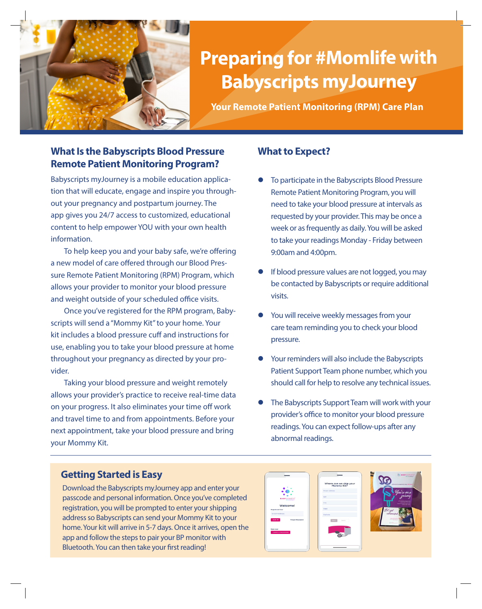

# **Preparing for #Momlife with Babyscripts myJourney**

**Your Remote Patient Monitoring (RPM) Care Plan**

### **What Is the Babyscripts Blood Pressure Remote Patient Monitoring Program?**

Babyscripts myJourney is a mobile education application that will educate, engage and inspire you throughout your pregnancy and postpartum journey. The app gives you 24/7 access to customized, educational content to help empower YOU with your own health information.

To help keep you and your baby safe, we're offering a new model of care offered through our Blood Pressure Remote Patient Monitoring (RPM) Program, which allows your provider to monitor your blood pressure and weight outside of your scheduled office visits.

Once you've registered for the RPM program, Babyscripts will send a "Mommy Kit" to your home. Your kit includes a blood pressure cuff and instructions for use, enabling you to take your blood pressure at home throughout your pregnancy as directed by your provider.

Taking your blood pressure and weight remotely allows your provider's practice to receive real-time data on your progress. It also eliminates your time off work and travel time to and from appointments. Before your next appointment, take your blood pressure and bring your Mommy Kit.

### **What to Expect?**

- To participate in the Babyscripts Blood Pressure Remote Patient Monitoring Program, you will need to take your blood pressure at intervals as requested by your provider. This may be once a week or as frequently as daily. You will be asked to take your readings Monday - Friday between 9:00am and 4:00pm.
- If blood pressure values are not logged, you may be contacted by Babyscripts or require additional visits.
- You will receive weekly messages from your care team reminding you to check your blood pressure.
- Your reminders will also include the Babyscripts Patient Support Team phone number, which you should call for help to resolve any technical issues.
- The Babyscripts Support Team will work with your provider's office to monitor your blood pressure readings. You can expect follow-ups after any abnormal readings.

### **Getting Started is Easy**

Download the Babyscripts myJourney app and enter your passcode and personal information. Once you've completed registration, you will be prompted to enter your shipping address so Babyscripts can send your Mommy Kit to your home. Your kit will arrive in 5-7 days. Once it arrives, open the app and follow the steps to pair your BP monitor with Bluetooth. You can then take your first reading!

|                                    | Where can we ship your<br>Mommy Kit? |  |
|------------------------------------|--------------------------------------|--|
|                                    | <b>Street Address</b>                |  |
| <b>BABYSCRIPTS</b>                 | Apt                                  |  |
|                                    | <b>City</b>                          |  |
| Welcome!<br><b>Registered User</b> | State                                |  |
| <b>Email Address</b>               | ZipCode                              |  |
| SIGN IN<br><b>Forgot Password</b>  | NEXT<br>BACK                         |  |
| New User                           |                                      |  |
| <b>I HAVE A PASSCODE</b>           |                                      |  |
|                                    |                                      |  |